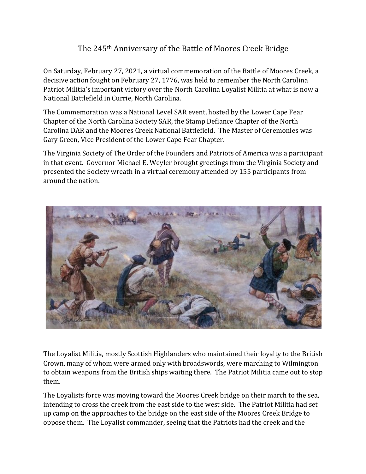## The 245<sup>th</sup> Anniversary of the Battle of Moores Creek Bridge

On Saturday, February 27, 2021, a virtual commemoration of the Battle of Moores Creek, a decisive action fought on February 27, 1776, was held to remember the North Carolina Patriot Militia's important victory over the North Carolina Loyalist Militia at what is now a National Battlefield in Currie, North Carolina.

The Commemoration was a National Level SAR event, hosted by the Lower Cape Fear Chapter of the North Carolina Society SAR, the Stamp Defiance Chapter of the North Carolina DAR and the Moores Creek National Battlefield. The Master of Ceremonies was Gary Green, Vice President of the Lower Cape Fear Chapter.

The Virginia Society of The Order of the Founders and Patriots of America was a participant in that event. Governor Michael E. Weyler brought greetings from the Virginia Society and presented the Society wreath in a virtual ceremony attended by 155 participants from around the nation.



The Loyalist Militia, mostly Scottish Highlanders who maintained their loyalty to the British Crown, many of whom were armed only with broadswords, were marching to Wilmington to obtain weapons from the British ships waiting there. The Patriot Militia came out to stop them. 

The Loyalists force was moving toward the Moores Creek bridge on their march to the sea, intending to cross the creek from the east side to the west side. The Patriot Militia had set up camp on the approaches to the bridge on the east side of the Moores Creek Bridge to oppose them. The Loyalist commander, seeing that the Patriots had the creek and the